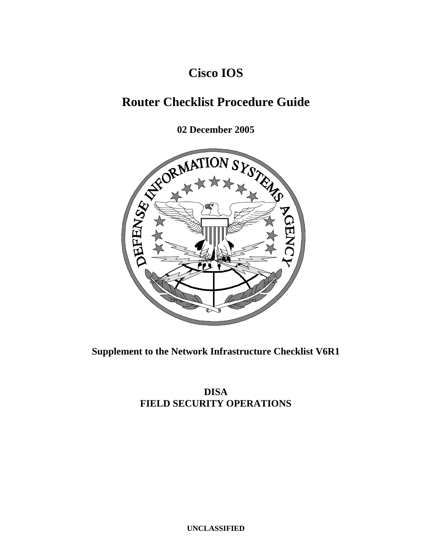# **Cisco IOS**

# **Router Checklist Procedure Guide**



**Supplement to the Network Infrastructure Checklist V6R1**

**DISA FIELD SECURITY OPERATIONS**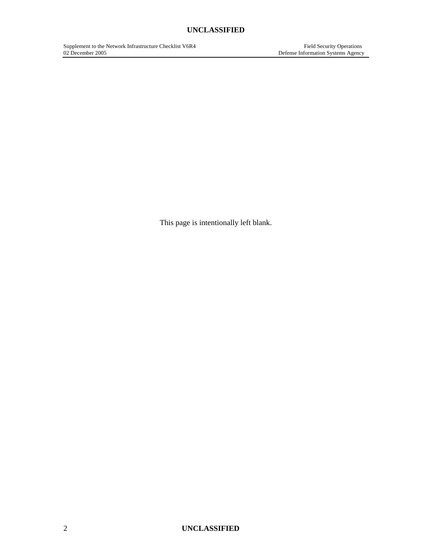Supplement to the Network Infrastructure Checklist V6R4 Field Security Operations 02 December 2005 Defense Information Systems Agency

This page is intentionally left blank.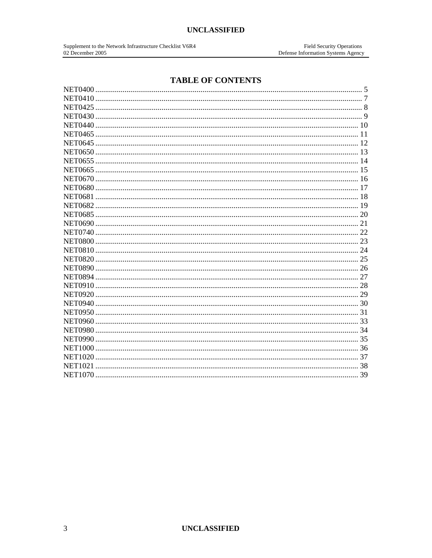# **TABLE OF CONTENTS**

| NET0400        |    |
|----------------|----|
|                |    |
|                |    |
|                |    |
|                |    |
|                |    |
|                |    |
| NET0650        | 13 |
|                |    |
|                |    |
|                |    |
|                |    |
| <b>NET0681</b> |    |
| <b>NET0682</b> |    |
|                | 20 |
|                |    |
|                |    |
|                |    |
|                |    |
|                |    |
|                |    |
|                |    |
|                |    |
|                |    |
|                |    |
|                |    |
|                |    |
|                |    |
|                |    |
| NET1000        |    |
| <b>NET1020</b> |    |
| NET1021        |    |
|                |    |
|                |    |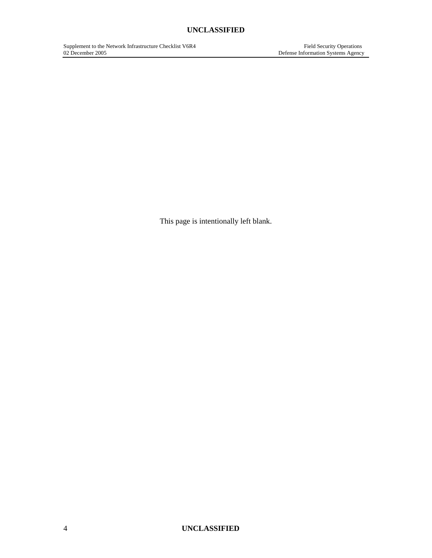Supplement to the Network Infrastructure Checklist V6R4 Field Security Operations 02 December 2005 Defense Information Systems Agency

This page is intentionally left blank.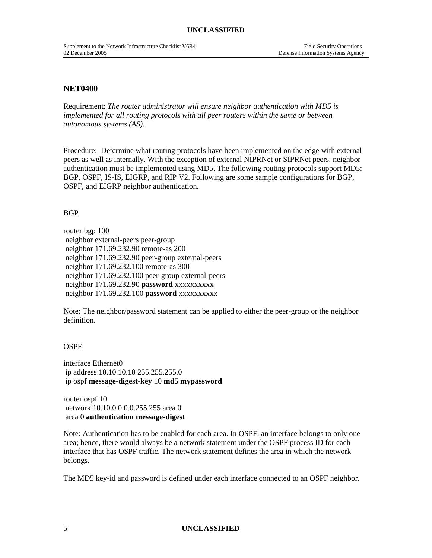Requirement: *The router administrator will ensure neighbor authentication with MD5 is implemented for all routing protocols with all peer routers within the same or between autonomous systems (AS).*

Procedure: Determine what routing protocols have been implemented on the edge with external peers as well as internally. With the exception of external NIPRNet or SIPRNet peers, neighbor authentication must be implemented using MD5. The following routing protocols support MD5: BGP, OSPF, IS-IS, EIGRP, and RIP V2. Following are some sample configurations for BGP, OSPF, and EIGRP neighbor authentication.

# BGP

router bgp 100 neighbor external-peers peer-group neighbor 171.69.232.90 remote-as 200 neighbor 171.69.232.90 peer-group external-peers neighbor 171.69.232.100 remote-as 300 neighbor 171.69.232.100 peer-group external-peers neighbor 171.69.232.90 **password** xxxxxxxxxx neighbor 171.69.232.100 **password** xxxxxxxxxx

Note: The neighbor/password statement can be applied to either the peer-group or the neighbor definition.

# **OSPF**

interface Ethernet0 ip address 10.10.10.10 255.255.255.0 ip ospf **message-digest-key** 10 **md5 mypassword**

router ospf 10 network 10.10.0.0 0.0.255.255 area 0 area 0 **authentication message-digest**

Note: Authentication has to be enabled for each area. In OSPF, an interface belongs to only one area; hence, there would always be a network statement under the OSPF process ID for each interface that has OSPF traffic. The network statement defines the area in which the network belongs.

The MD5 key-id and password is defined under each interface connected to an OSPF neighbor.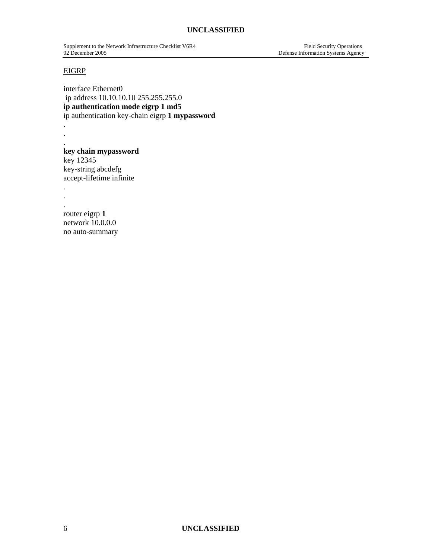Supplement to the Network Infrastructure Checklist V6R4 Field Security Operations<br>
02 December 2005 **Field Security Operations** 

#### EIGRP

.

.

interface Ethernet0 ip address 10.10.10.10 255.255.255.0 **ip authentication mode eigrp 1 md5**  ip authentication key-chain eigrp **1 mypassword** .

. **key chain mypassword** key 12345 key-string abcdefg accept-lifetime infinite .

. router eigrp **1**  network 10.0.0.0 no auto-summary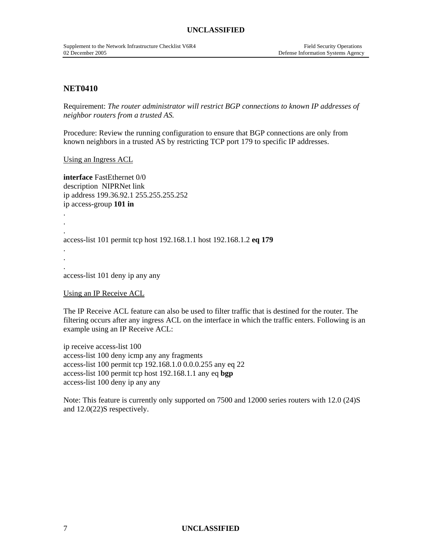. .

.

Requirement: *The router administrator will restrict BGP connections to known IP addresses of neighbor routers from a trusted AS.*

Procedure: Review the running configuration to ensure that BGP connections are only from known neighbors in a trusted AS by restricting TCP port 179 to specific IP addresses.

Using an Ingress ACL

**interface** FastEthernet 0/0 description NIPRNet link ip address 199.36.92.1 255.255.255.252 ip access-group **101 in**  .

access-list 101 permit tcp host 192.168.1.1 host 192.168.1.2 **eq 179**

. .

access-list 101 deny ip any any

Using an IP Receive ACL

The IP Receive ACL feature can also be used to filter traffic that is destined for the router. The filtering occurs after any ingress ACL on the interface in which the traffic enters. Following is an example using an IP Receive ACL:

ip receive access-list 100 access-list 100 deny icmp any any fragments access-list 100 permit tcp 192.168.1.0 0.0.0.255 any eq 22 access-list 100 permit tcp host 192.168.1.1 any eq **bgp** access-list 100 deny ip any any

Note: This feature is currently only supported on 7500 and 12000 series routers with 12.0 (24)S and 12.0(22)S respectively.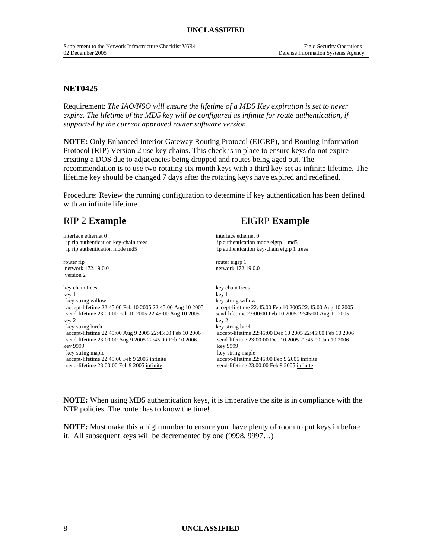Requirement: *The IAO/NSO will ensure the lifetime of a MD5 Key expiration is set to never expire. The lifetime of the MD5 key will be configured as infinite for route authentication, if supported by the current approved router software version.*

**NOTE:** Only Enhanced Interior Gateway Routing Protocol (EIGRP), and Routing Information Protocol (RIP) Version 2 use key chains. This check is in place to ensure keys do not expire creating a DOS due to adjacencies being dropped and routes being aged out. The recommendation is to use two rotating six month keys with a third key set as infinite lifetime. The lifetime key should be changed 7 days after the rotating keys have expired and redefined.

Procedure: Review the running configuration to determine if key authentication has been defined with an infinite lifetime.

interface ethernet 0 interface ethernet 0 ip rip authentication key-chain trees ip authentication mode eigrp 1 md5 ip rip authentication mode md5 ip authentication key-chain eigrp 1 trees router rip router eigrp 1 network 172.19.0.0 network 172.19.0.0 version 2 key chain trees key chain trees key 1 key 1 key-string willow key-string willow accept-lifetime 22:45:00 Feb 10 2005 22:45:00 Aug 10 2005 accept-lifetime 22:45:00 Feb 10 2005 22:45:00 Aug 10 2005 send-lifetime 23:00:00 Feb 10 2005 22:45:00 Aug 10 2005 send-lifetime 23:00:00 Feb 10 2005 22:45:00 Aug 10 2005 key 2 key 2 key-string birch key-string birch key-string birch key-string birch <br>accept-lifetime 22:45:00 Aug 9 2005 22:45:00 Feb 10 2006 accept-lifetime send-lifetime 23:00:00 Aug 9 2005 22:45:00 Feb 10 2006 send-lifetime 23:00:00 Dec 10 2005 22:45:00 Jan 10 2006 key 9999 key 9999 key-string maple<br>accept-lifetime 22:45:00 Feb 9 2005 infinite<br>accept-lifetime 22:45:00 Feb 9 2005 infinite accept-lifetime 22:45:00 Feb 9 2005 infinite send-lifetime 23:00:00 Feb 9 2005 infinite send-lifetime 23:00:00 Feb 9 2005 infinite

# RIP 2 **Example** EIGRP **Example**

accept-lifetime 22:45:00 Dec 10 2005 22:45:00 Feb 10 2006

**NOTE:** When using MD5 authentication keys, it is imperative the site is in compliance with the NTP policies. The router has to know the time!

**NOTE:** Must make this a high number to ensure you have plenty of room to put keys in before it. All subsequent keys will be decremented by one (9998, 9997…)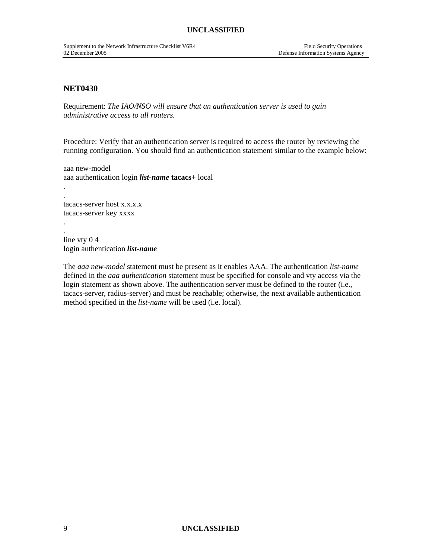# **NET0430**

. .

.

Requirement: *The IAO/NSO will ensure that an authentication server is used to gain administrative access to all routers.*

Procedure: Verify that an authentication server is required to access the router by reviewing the running configuration. You should find an authentication statement similar to the example below:

aaa new-model aaa authentication login *list-name* **tacacs+** local

tacacs-server host x.x.x.x tacacs-server key xxxx

. line vty 0 4 login authentication *list-name* 

The *aaa new-model* statement must be present as it enables AAA. The authentication *list-name* defined in the *aaa authentication* statement must be specified for console and vty access via the login statement as shown above. The authentication server must be defined to the router (i.e., tacacs-server, radius-server) and must be reachable; otherwise, the next available authentication method specified in the *list-name* will be used (i.e. local).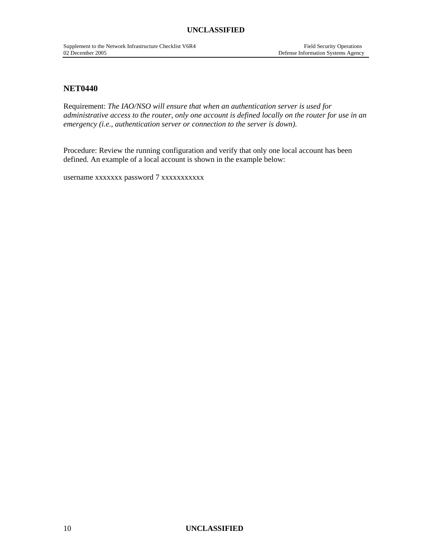Requirement: *The IAO/NSO will ensure that when an authentication server is used for administrative access to the router, only one account is defined locally on the router for use in an emergency (i.e., authentication server or connection to the server is down).*

Procedure: Review the running configuration and verify that only one local account has been defined. An example of a local account is shown in the example below:

username xxxxxxx password 7 xxxxxxxxxxx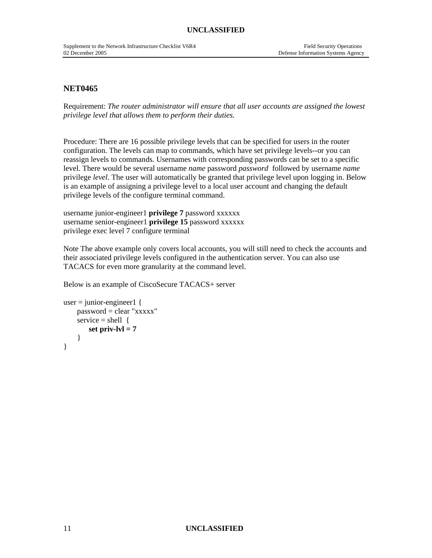Requirement: *The router administrator will ensure that all user accounts are assigned the lowest privilege level that allows them to perform their duties.*

Procedure: There are 16 possible privilege levels that can be specified for users in the router configuration. The levels can map to commands, which have set privilege levels--or you can reassign levels to commands. Usernames with corresponding passwords can be set to a specific level. There would be several username *name* password *password* followed by username *name* privilege *level*. The user will automatically be granted that privilege level upon logging in. Below is an example of assigning a privilege level to a local user account and changing the default privilege levels of the configure terminal command.

username junior-engineer1 **privilege 7** password xxxxxx username senior-engineer1 **privilege 15** password xxxxxx privilege exec level 7 configure terminal

Note The above example only covers local accounts, you will still need to check the accounts and their associated privilege levels configured in the authentication server. You can also use TACACS for even more granularity at the command level.

Below is an example of CiscoSecure TACACS+ server

```
user = junior-engineer1 { 
     password = clear "xxxxx" 
    service = shell \{ set priv-lvl = 7 
      } 
}
```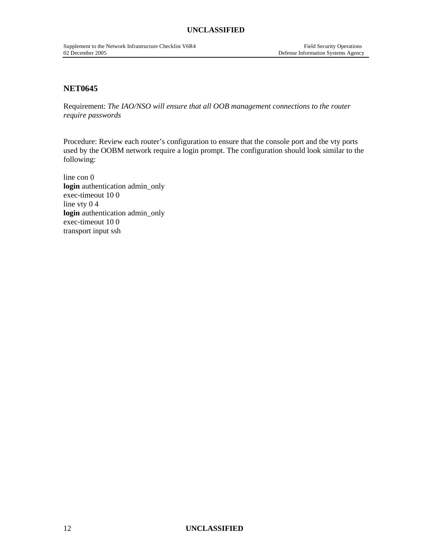# **NET0645**

Requirement: *The IAO/NSO will ensure that all OOB management connections to the router require passwords*

Procedure: Review each router's configuration to ensure that the console port and the vty ports used by the OOBM network require a login prompt. The configuration should look similar to the following:

line con 0 **login** authentication admin\_only exec-timeout 10 0 line vty 0 4 **login** authentication admin\_only exec-timeout 10 0 transport input ssh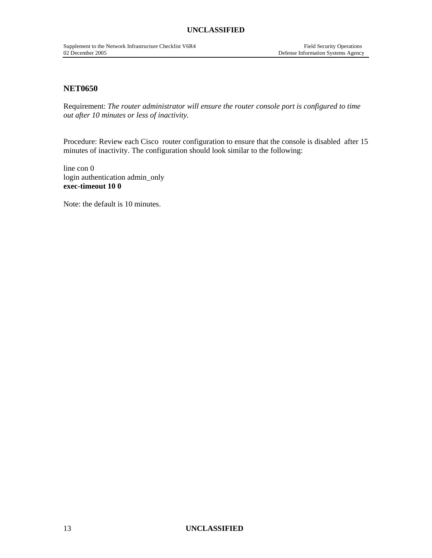# **NET0650**

Requirement: *The router administrator will ensure the router console port is configured to time out after 10 minutes or less of inactivity.*

Procedure: Review each Cisco router configuration to ensure that the console is disabled after 15 minutes of inactivity. The configuration should look similar to the following:

line con 0 login authentication admin\_only **exec-timeout 10 0**

Note: the default is 10 minutes.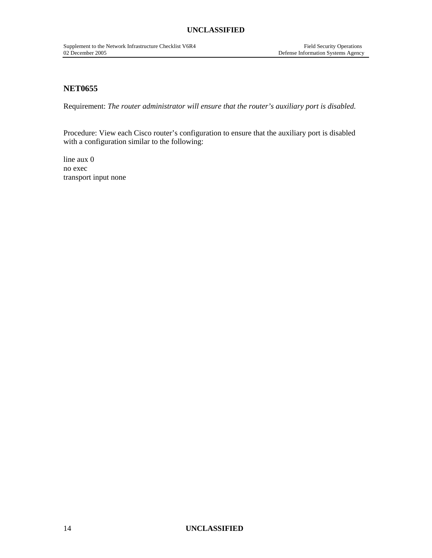# **NET0655**

Requirement: *The router administrator will ensure that the router's auxiliary port is disabled.*

Procedure: View each Cisco router's configuration to ensure that the auxiliary port is disabled with a configuration similar to the following:

line aux 0 no exec transport input none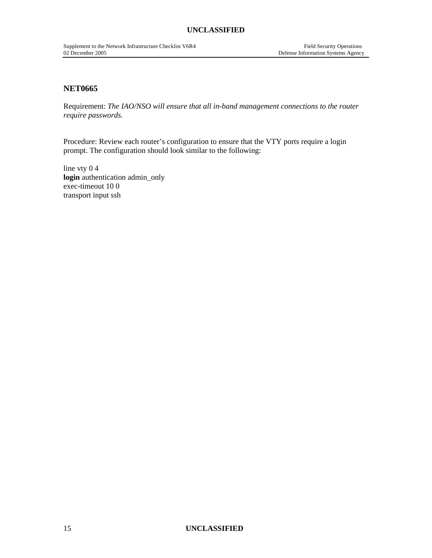# **NET0665**

Requirement: *The IAO/NSO will ensure that all in-band management connections to the router require passwords.*

Procedure: Review each router's configuration to ensure that the VTY ports require a login prompt. The configuration should look similar to the following:

line vty 0 4 **login** authentication admin\_only exec-timeout 10 0 transport input ssh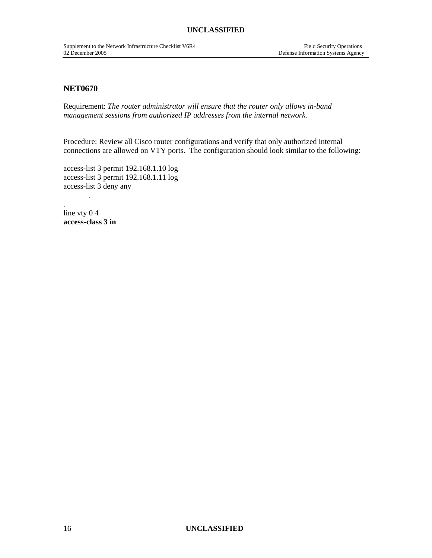Requirement: *The router administrator will ensure that the router only allows in-band management sessions from authorized IP addresses from the internal network.*

Procedure: Review all Cisco router configurations and verify that only authorized internal connections are allowed on VTY ports. The configuration should look similar to the following:

access-list 3 permit 192.168.1.10 log access-list 3 permit 192.168.1.11 log access-list 3 deny any

. line vty 0 4 **access-class 3 in** 

.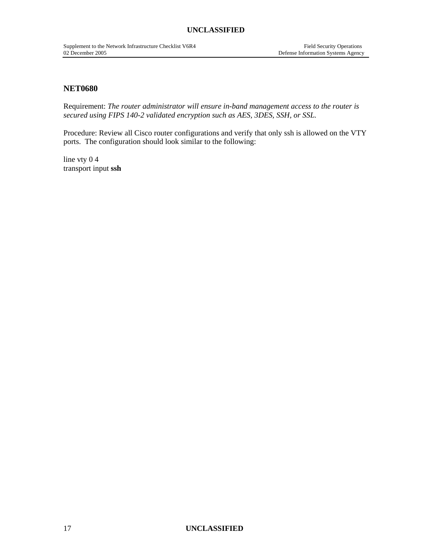Requirement: *The router administrator will ensure in-band management access to the router is secured using FIPS 140-2 validated encryption such as AES, 3DES, SSH, or SSL.*

Procedure: Review all Cisco router configurations and verify that only ssh is allowed on the VTY ports. The configuration should look similar to the following:

line vty 0 4 transport input **ssh**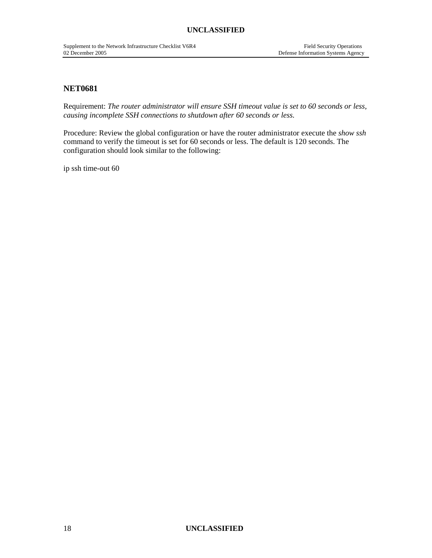Supplement to the Network Infrastructure Checklist V6R4 Field Security Operations<br>
02 December 2005 **Field Security Operations** 

# **NET0681**

Requirement: *The router administrator will ensure SSH timeout value is set to 60 seconds or less, causing incomplete SSH connections to shutdown after 60 seconds or less.*

Procedure: Review the global configuration or have the router administrator execute the *show ssh* command to verify the timeout is set for 60 seconds or less. The default is 120 seconds. The configuration should look similar to the following:

ip ssh time-out 60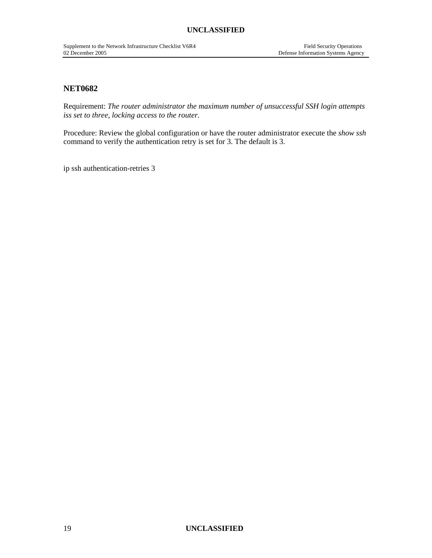# **NET0682**

Requirement: *The router administrator the maximum number of unsuccessful SSH login attempts iss set to three, locking access to the router.*

Procedure: Review the global configuration or have the router administrator execute the *show ssh* command to verify the authentication retry is set for 3. The default is 3.

ip ssh authentication-retries 3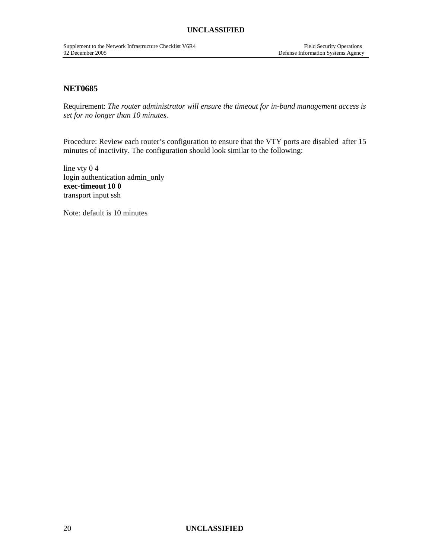# **NET0685**

Requirement: *The router administrator will ensure the timeout for in-band management access is set for no longer than 10 minutes.*

Procedure: Review each router's configuration to ensure that the VTY ports are disabled after 15 minutes of inactivity. The configuration should look similar to the following:

line vty 0 4 login authentication admin\_only **exec-timeout 10 0** transport input ssh

Note: default is 10 minutes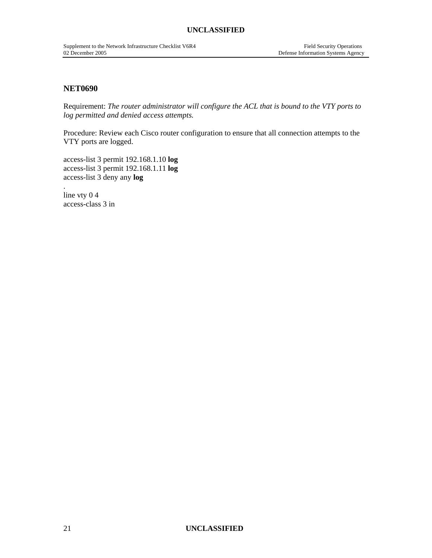# **NET0690**

Requirement: *The router administrator will configure the ACL that is bound to the VTY ports to log permitted and denied access attempts.*

Procedure: Review each Cisco router configuration to ensure that all connection attempts to the VTY ports are logged.

access-list 3 permit 192.168.1.10 **log** access-list 3 permit 192.168.1.11 **log** access-list 3 deny any **log**

. line vty 0 4 access-class 3 in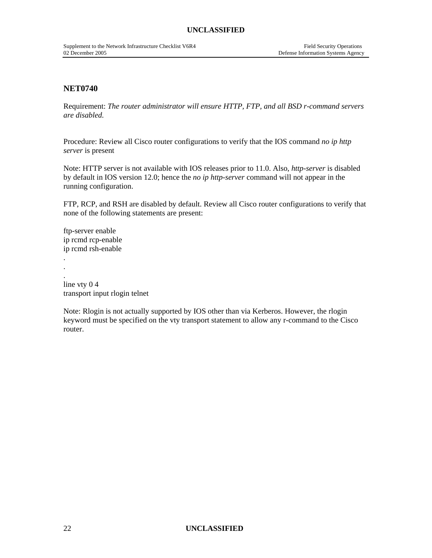# **NET0740**

Requirement: *The router administrator will ensure HTTP, FTP, and all BSD r-command servers are disabled.*

Procedure: Review all Cisco router configurations to verify that the IOS command *no ip http server* is present

Note: HTTP server is not available with IOS releases prior to 11.0. Also, *http-server* is disabled by default in IOS version 12.0; hence the *no ip http-server* command will not appear in the running configuration.

FTP, RCP, and RSH are disabled by default. Review all Cisco router configurations to verify that none of the following statements are present:

ftp-server enable ip rcmd rcp-enable ip rcmd rsh-enable .

.

. line vty 0 4 transport input rlogin telnet

Note: Rlogin is not actually supported by IOS other than via Kerberos. However, the rlogin keyword must be specified on the vty transport statement to allow any r-command to the Cisco router.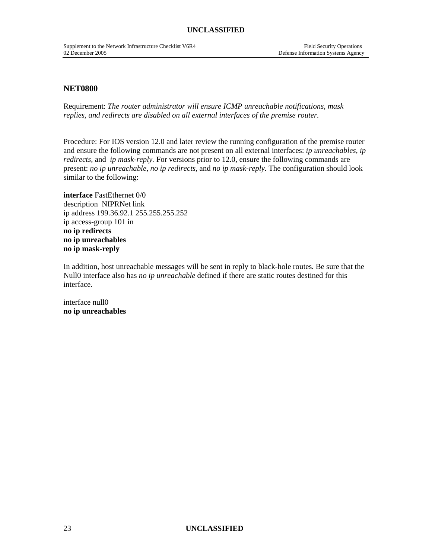Requirement: *The router administrator will ensure ICMP unreachable notifications, mask replies, and redirects are disabled on all external interfaces of the premise router.*

Procedure: For IOS version 12.0 and later review the running configuration of the premise router and ensure the following commands are not present on all external interfaces: *ip unreachables, ip redirects,* and *ip mask-reply.* For versions prior to 12.0, ensure the following commands are present: *no ip unreachable, no ip redirects,* and *no ip mask-reply.* The configuration should look similar to the following:

**interface** FastEthernet 0/0 description NIPRNet link ip address 199.36.92.1 255.255.255.252 ip access-group 101 in **no ip redirects no ip unreachables no ip mask-reply** 

In addition, host unreachable messages will be sent in reply to black-hole routes*.* Be sure that the Null0 interface also has *no ip unreachable* defined if there are static routes destined for this interface.

interface null0 **no ip unreachables**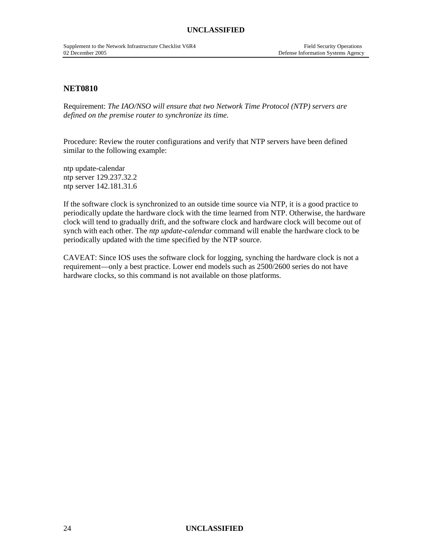# **NET0810**

Requirement: *The IAO/NSO will ensure that two Network Time Protocol (NTP) servers are defined on the premise router to synchronize its time.*

Procedure: Review the router configurations and verify that NTP servers have been defined similar to the following example:

ntp update-calendar ntp server 129.237.32.2 ntp server 142.181.31.6

If the software clock is synchronized to an outside time source via NTP, it is a good practice to periodically update the hardware clock with the time learned from NTP. Otherwise, the hardware clock will tend to gradually drift, and the software clock and hardware clock will become out of synch with each other. The *ntp update-calendar* command will enable the hardware clock to be periodically updated with the time specified by the NTP source.

CAVEAT: Since IOS uses the software clock for logging, synching the hardware clock is not a requirement—only a best practice. Lower end models such as 2500/2600 series do not have hardware clocks, so this command is not available on those platforms.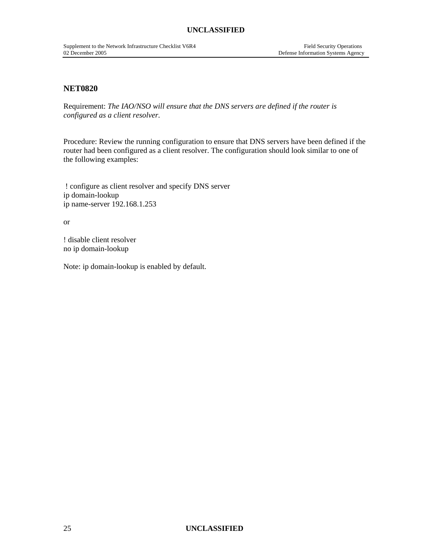# **NET0820**

Requirement: *The IAO/NSO will ensure that the DNS servers are defined if the router is configured as a client resolver.*

Procedure: Review the running configuration to ensure that DNS servers have been defined if the router had been configured as a client resolver. The configuration should look similar to one of the following examples:

 ! configure as client resolver and specify DNS server ip domain-lookup ip name-server 192.168.1.253

or

! disable client resolver no ip domain-lookup

Note: ip domain-lookup is enabled by default.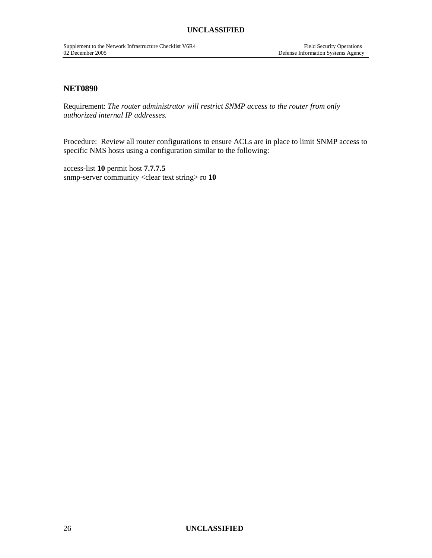# **NET0890**

Requirement: *The router administrator will restrict SNMP access to the router from only authorized internal IP addresses.*

Procedure: Review all router configurations to ensure ACLs are in place to limit SNMP access to specific NMS hosts using a configuration similar to the following:

access-list **10** permit host **7.7.7.5** snmp-server community <clear text string> ro **10**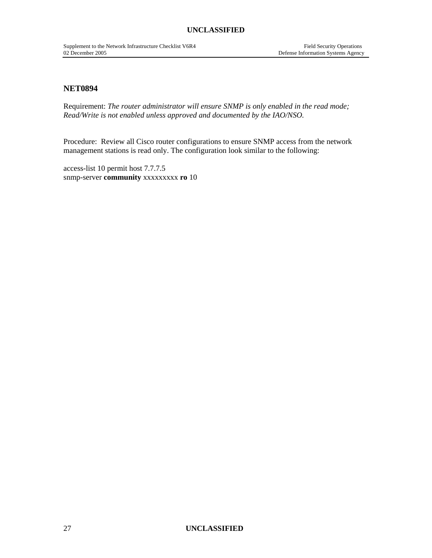# **NET0894**

Requirement: *The router administrator will ensure SNMP is only enabled in the read mode; Read/Write is not enabled unless approved and documented by the IAO/NSO.*

Procedure: Review all Cisco router configurations to ensure SNMP access from the network management stations is read only. The configuration look similar to the following:

access-list 10 permit host 7.7.7.5 snmp-server **community** xxxxxxxxx **ro** 10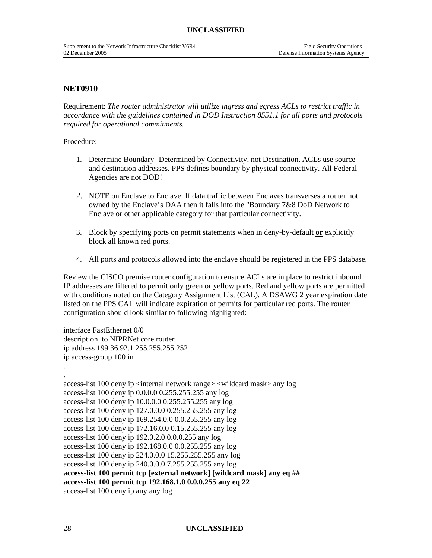Requirement: *The router administrator will utilize ingress and egress ACLs to restrict traffic in accordance with the guidelines contained in DOD Instruction 8551.1 for all ports and protocols required for operational commitments.*

#### Procedure:

- 1. Determine Boundary- Determined by Connectivity, not Destination. ACLs use source and destination addresses. PPS defines boundary by physical connectivity. All Federal Agencies are not DOD!
- 2. NOTE on Enclave to Enclave: If data traffic between Enclaves transverses a router not owned by the Enclave's DAA then it falls into the "Boundary 7&8 DoD Network to Enclave or other applicable category for that particular connectivity.
- 3. Block by specifying ports on permit statements when in deny-by-default **or** explicitly block all known red ports.
- 4. All ports and protocols allowed into the enclave should be registered in the PPS database.

Review the CISCO premise router configuration to ensure ACLs are in place to restrict inbound IP addresses are filtered to permit only green or yellow ports. Red and yellow ports are permitted with conditions noted on the Category Assignment List (CAL). A DSAWG 2 year expiration date listed on the PPS CAL will indicate expiration of permits for particular red ports. The router configuration should look similar to following highlighted:

interface FastEthernet 0/0 description to NIPRNet core router ip address 199.36.92.1 255.255.255.252 ip access-group 100 in

```
. 
access-list 100 deny ip <internal network range> <wildcard mask> any log 
access-list 100 deny ip 0.0.0.0 0.255.255.255 any log 
access-list 100 deny ip 10.0.0.0 0.255.255.255 any log 
access-list 100 deny ip 127.0.0.0 0.255.255.255 any log 
access-list 100 deny ip 169.254.0.0 0.0.255.255 any log 
access-list 100 deny ip 172.16.0.0 0.15.255.255 any log 
access-list 100 deny ip 192.0.2.0 0.0.0.255 any log 
access-list 100 deny ip 192.168.0.0 0.0.255.255 any log 
access-list 100 deny ip 224.0.0.0 15.255.255.255 any log 
access-list 100 deny ip 240.0.0.0 7.255.255.255 any log 
access-list 100 permit tcp [external network] [wildcard mask] any eq ## 
access-list 100 permit tcp 192.168.1.0 0.0.0.255 any eq 22 
access-list 100 deny ip any any log
```
.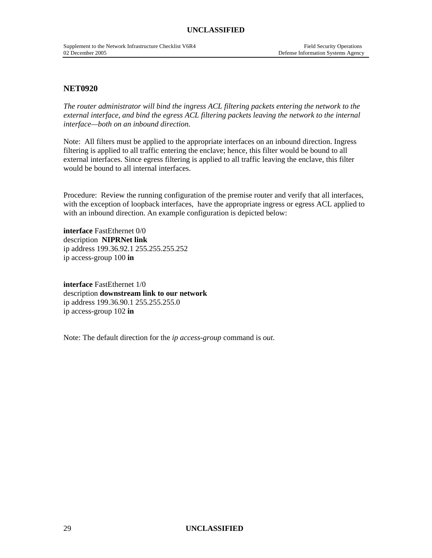*The router administrator will bind the ingress ACL filtering packets entering the network to the external interface, and bind the egress ACL filtering packets leaving the network to the internal interface—both on an inbound direction.*

Note:All filters must be applied to the appropriate interfaces on an inbound direction. Ingress filtering is applied to all traffic entering the enclave; hence, this filter would be bound to all external interfaces. Since egress filtering is applied to all traffic leaving the enclave, this filter would be bound to all internal interfaces.

Procedure: Review the running configuration of the premise router and verify that all interfaces, with the exception of loopback interfaces, have the appropriate ingress or egress ACL applied to with an inbound direction. An example configuration is depicted below:

**interface** FastEthernet 0/0 description **NIPRNet link** ip address 199.36.92.1 255.255.255.252 ip access-group 100 **in** 

**interface** FastEthernet 1/0 description **downstream link to our network** ip address 199.36.90.1 255.255.255.0 ip access-group 102 **in**

Note: The default direction for the *ip access-group* command is *out*.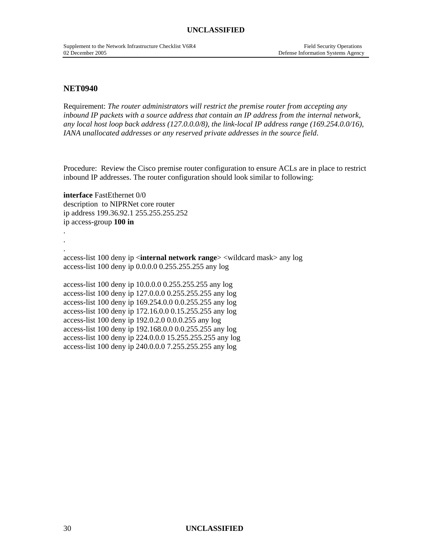Requirement: *The router administrators will restrict the premise router from accepting any inbound IP packets with a source address that contain an IP address from the internal network, any local host loop back address (127.0.0.0/8), the link-local IP address range (169.254.0.0/16), IANA unallocated addresses or any reserved private addresses in the source field*.

Procedure: Review the Cisco premise router configuration to ensure ACLs are in place to restrict inbound IP addresses. The router configuration should look similar to following:

**interface** FastEthernet 0/0 description to NIPRNet core router ip address 199.36.92.1 255.255.255.252 ip access-group **100 in**

. . .

access-list 100 deny ip <**internal network range**> <wildcard mask> any log access-list 100 deny ip 0.0.0.0 0.255.255.255 any log

access-list 100 deny ip 10.0.0.0 0.255.255.255 any log access-list 100 deny ip 127.0.0.0 0.255.255.255 any log access-list 100 deny ip 169.254.0.0 0.0.255.255 any log access-list 100 deny ip 172.16.0.0 0.15.255.255 any log access-list 100 deny ip 192.0.2.0 0.0.0.255 any log access-list 100 deny ip 192.168.0.0 0.0.255.255 any log access-list 100 deny ip 224.0.0.0 15.255.255.255 any log access-list 100 deny ip 240.0.0.0 7.255.255.255 any log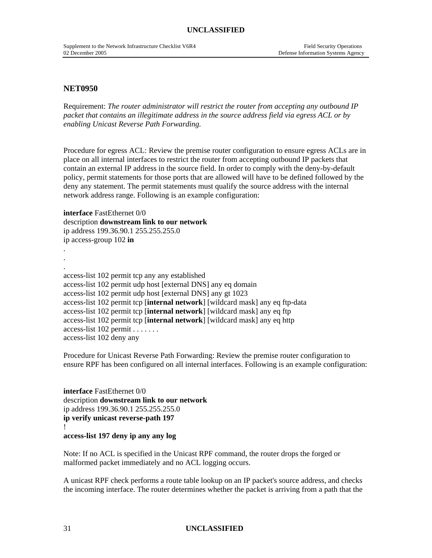Requirement: *The router administrator will restrict the router from accepting any outbound IP packet that contains an illegitimate address in the source address field via egress ACL or by enabling Unicast Reverse Path Forwarding.*

Procedure for egress ACL: Review the premise router configuration to ensure egress ACLs are in place on all internal interfaces to restrict the router from accepting outbound IP packets that contain an external IP address in the source field. In order to comply with the deny-by-default policy, permit statements for those ports that are allowed will have to be defined followed by the deny any statement. The permit statements must qualify the source address with the internal network address range. Following is an example configuration:

**interface** FastEthernet 0/0 description **downstream link to our network** ip address 199.36.90.1 255.255.255.0 ip access-group 102 **in** . . . access-list 102 permit tcp any any established access-list 102 permit udp host [external DNS] any eq domain access-list 102 permit udp host [external DNS] any gt 1023 access-list 102 permit tcp [**internal network**] [wildcard mask] any eq ftp-data access-list 102 permit tcp [**internal network**] [wildcard mask] any eq ftp access-list 102 permit tcp [**internal network**] [wildcard mask] any eq http access-list 102 permit . . . . . . . access-list 102 deny any

Procedure for Unicast Reverse Path Forwarding: Review the premise router configuration to ensure RPF has been configured on all internal interfaces. Following is an example configuration:

**interface** FastEthernet 0/0 description **downstream link to our network** ip address 199.36.90.1 255.255.255.0 **ip verify unicast reverse-path 197**  !

#### **access-list 197 deny ip any any log**

Note: If no ACL is specified in the Unicast RPF command, the router drops the forged or malformed packet immediately and no ACL logging occurs.

A unicast RPF check performs a route table lookup on an IP packet's source address, and checks the incoming interface. The router determines whether the packet is arriving from a path that the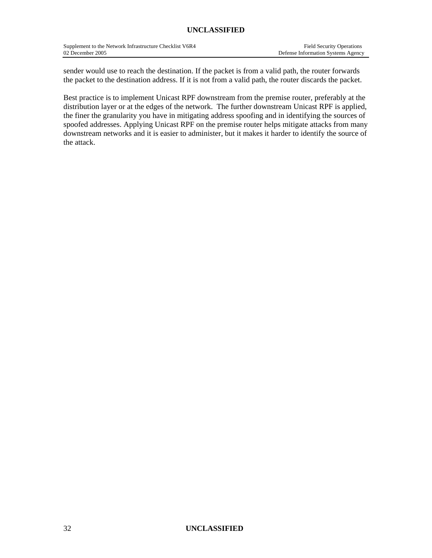Supplement to the Network Infrastructure Checklist V6R4 Field Security Operations<br>
02 December 2005 **Field Security Operations** 

sender would use to reach the destination. If the packet is from a valid path, the router forwards the packet to the destination address. If it is not from a valid path, the router discards the packet.

Best practice is to implement Unicast RPF downstream from the premise router, preferably at the distribution layer or at the edges of the network. The further downstream Unicast RPF is applied, the finer the granularity you have in mitigating address spoofing and in identifying the sources of spoofed addresses. Applying Unicast RPF on the premise router helps mitigate attacks from many downstream networks and it is easier to administer, but it makes it harder to identify the source of the attack.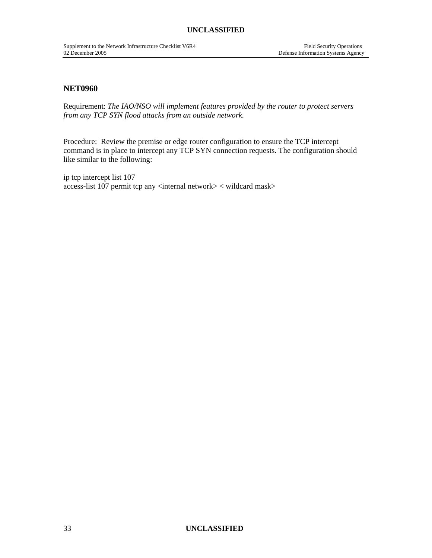Requirement: *The IAO/NSO will implement features provided by the router to protect servers from any TCP SYN flood attacks from an outside network.*

Procedure: Review the premise or edge router configuration to ensure the TCP intercept command is in place to intercept any TCP SYN connection requests. The configuration should like similar to the following:

ip tcp intercept list 107 access-list 107 permit tcp any <internal network> < wildcard mask>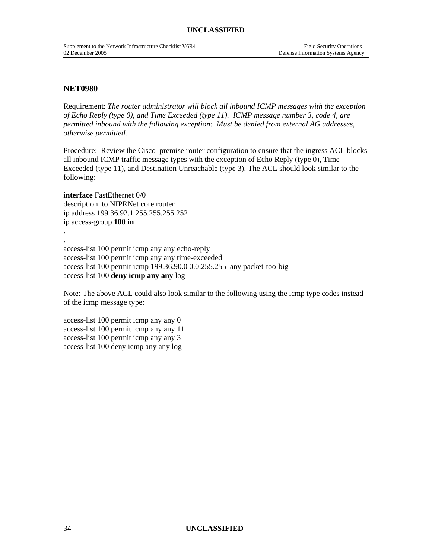. .

Requirement: *The router administrator will block all inbound ICMP messages with the exception of Echo Reply (type 0), and Time Exceeded (type 11). ICMP message number 3, code 4, are permitted inbound with the following exception: Must be denied from external AG addresses, otherwise permitted.*

Procedure: Review the Cisco premise router configuration to ensure that the ingress ACL blocks all inbound ICMP traffic message types with the exception of Echo Reply (type 0), Time Exceeded (type 11), and Destination Unreachable (type 3). The ACL should look similar to the following:

**interface** FastEthernet 0/0 description to NIPRNet core router ip address 199.36.92.1 255.255.255.252 ip access-group **100 in**

access-list 100 permit icmp any any echo-reply access-list 100 permit icmp any any time-exceeded access-list 100 permit icmp 199.36.90.0 0.0.255.255 any packet-too-big access-list 100 **deny icmp any any** log

Note: The above ACL could also look similar to the following using the icmp type codes instead of the icmp message type:

access-list 100 permit icmp any any 0 access-list 100 permit icmp any any 11 access-list 100 permit icmp any any 3 access-list 100 deny icmp any any log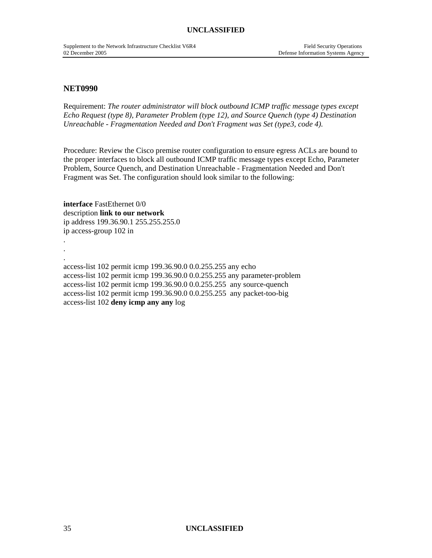. .

Requirement: *The router administrator will block outbound ICMP traffic message types except Echo Request (type 8), Parameter Problem (type 12), and Source Quench (type 4) Destination Unreachable - Fragmentation Needed and Don't Fragment was Set (type3, code 4).*

Procedure: Review the Cisco premise router configuration to ensure egress ACLs are bound to the proper interfaces to block all outbound ICMP traffic message types except Echo, Parameter Problem, Source Quench, and Destination Unreachable - Fragmentation Needed and Don't Fragment was Set. The configuration should look similar to the following:

**interface** FastEthernet 0/0 description **link to our network** ip address 199.36.90.1 255.255.255.0 ip access-group 102 in

. access-list 102 permit icmp 199.36.90.0 0.0.255.255 any echo access-list 102 permit icmp 199.36.90.0 0.0.255.255 any parameter-problem access-list 102 permit icmp 199.36.90.0 0.0.255.255 any source-quench access-list 102 permit icmp 199.36.90.0 0.0.255.255 any packet-too-big access-list 102 **deny icmp any any** log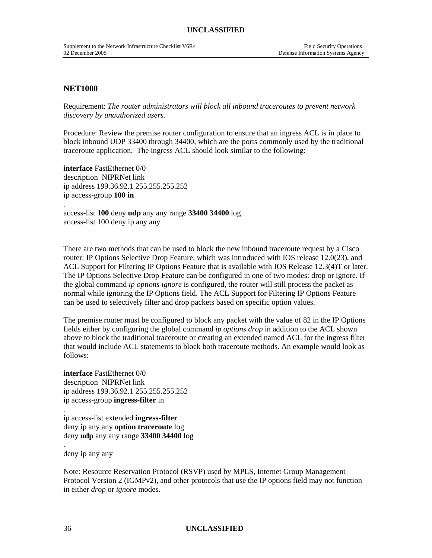.

Requirement: *The router administrators will block all inbound traceroutes to prevent network discovery by unauthorized users.*

Procedure: Review the premise router configuration to ensure that an ingress ACL is in place to block inbound UDP 33400 through 34400, which are the ports commonly used by the traditional traceroute application. The ingress ACL should look similar to the following:

**interface** FastEthernet 0/0 description NIPRNet link ip address 199.36.92.1 255.255.255.252 ip access-group **100 in**

access-list **100** deny **udp** any any range **33400 34400** log access-list 100 deny ip any any

There are two methods that can be used to block the new inbound traceroute request by a Cisco router: IP Options Selective Drop Feature, which was introduced with IOS release 12.0(23), and ACL Support for Filtering IP Options Feature that is available with IOS Release 12.3(4)T or later. The IP Options Selective Drop Feature can be configured in one of two modes: drop or ignore. If the global command *ip options ignore* is configured, the router will still process the packet as normal while ignoring the IP Options field. The ACL Support for Filtering IP Options Feature can be used to selectively filter and drop packets based on specific option values.

The premise router must be configured to block any packet with the value of 82 in the IP Options fields either by configuring the global command *ip options drop* in addition to the ACL shown above to block the traditional traceroute or creating an extended named ACL for the ingress filter that would include ACL statements to block both traceroute methods. An example would look as follows:

**interface** FastEthernet 0/0 description NIPRNet link ip address 199.36.92.1 255.255.255.252 ip access-group **ingress-filter** in

. ip access-list extended **ingress-filter** deny ip any any **option traceroute** log deny **udp** any any range **33400 34400** log

deny ip any any

Note: Resource Reservation Protocol (RSVP) used by MPLS, Internet Group Management Protocol Version 2 (IGMPv2), and other protocols that use the IP options field may not function in either *drop* or *ignore* modes.

.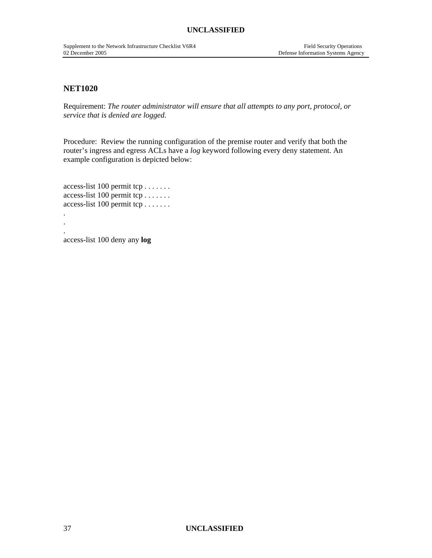. .

Requirement: *The router administrator will ensure that all attempts to any port, protocol, or service that is denied are logged.*

Procedure: Review the running configuration of the premise router and verify that both the router's ingress and egress ACLs have a *log* keyword following every deny statement. An example configuration is depicted below:

access-list 100 permit tcp . . . . . . . access-list 100 permit tcp . . . . . . . access-list 100 permit tcp . . . . . . . .

access-list 100 deny any **log**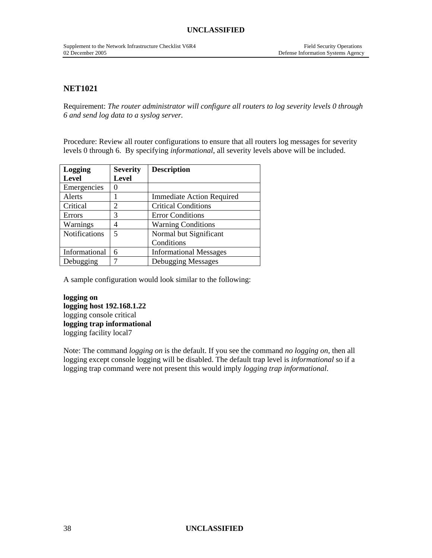Requirement: *The router administrator will configure all routers to log severity levels 0 through 6 and send log data to a syslog server.*

Procedure: Review all router configurations to ensure that all routers log messages for severity levels 0 through 6. By specifying *informational*, all severity levels above will be included.

| Logging              | <b>Severity</b> | <b>Description</b>               |
|----------------------|-----------------|----------------------------------|
| <b>Level</b>         | <b>Level</b>    |                                  |
| Emergencies          |                 |                                  |
| Alerts               |                 | <b>Immediate Action Required</b> |
| Critical             | $\overline{c}$  | <b>Critical Conditions</b>       |
| Errors               | 3               | <b>Error Conditions</b>          |
| Warnings             | 4               | <b>Warning Conditions</b>        |
| <b>Notifications</b> | 5               | Normal but Significant           |
|                      |                 | Conditions                       |
| Informational        | 6               | <b>Informational Messages</b>    |
| Debugging            | ⇁               | Debugging Messages               |

A sample configuration would look similar to the following:

**logging on logging host 192.168.1.22**  logging console critical **logging trap informational**  logging facility local7

Note: The command *logging on* is the default. If you see the command *no logging on*, then all logging except console logging will be disabled. The default trap level is *informational* so if a logging trap command were not present this would imply *logging trap informational*.